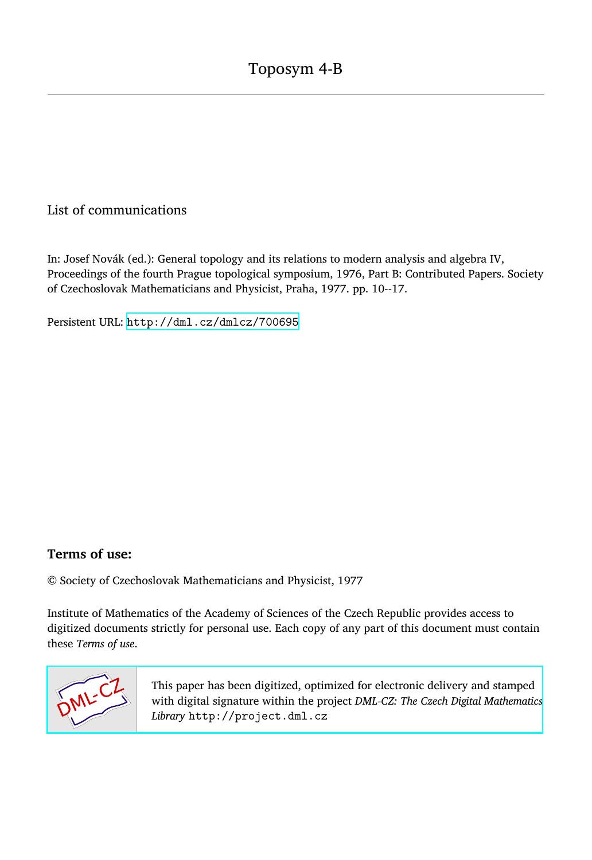## List of communications

In: Josef Novák (ed.): General topology and its relations to modern analysis and algebra IV, Proceedings of the fourth Prague topological symposium, 1976, Part B: Contributed Papers. Society of Czechoslovak Mathematicians and Physicist, Praha, 1977. pp. 10--17.

Persistent URL: <http://dml.cz/dmlcz/700695>

## **Terms of use:**

© Society of Czechoslovak Mathematicians and Physicist, 1977

Institute of Mathematics of the Academy of Sciences of the Czech Republic provides access to digitized documents strictly for personal use. Each copy of any part of this document must contain these *Terms of use*.



[This paper has been digitized, optimized for electronic delivery and stamped](http://project.dml.cz) with digital signature within the project *DML-CZ: The Czech Digital Mathematics Library* http://project.dml.cz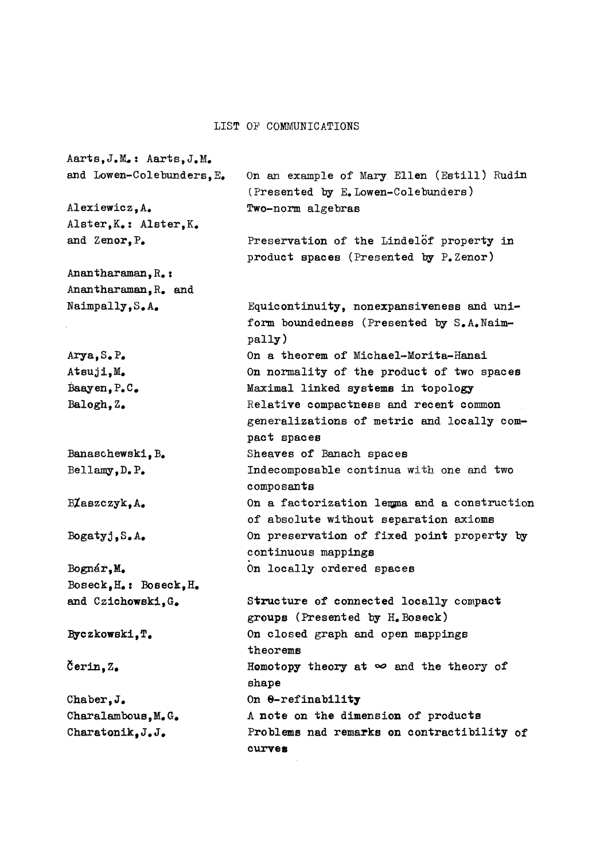## L**IST** *O'F* C**OMMUNI**C**ATIONS**

 $A$ arts,  $J$ **,**  $M$   $:$   $A$ arts,  $J$ ,  $M$ **and Lowen~**C**olebunders,E# On an exam**p**le of Mary. Ellen (Estill) Rudin**  (P**resented by E.**L**owen-**C**olebunders)**  Alexiewicz, A. **Two-norm algebras Alster,K# : Alster,K#**  and Zenor.P. P**reservation of the** L**indelof** p**ro**p**erty in**  p**roduct spaces (**P**resented by** P**.Zenor)**  Anantharaman, R<sub>\*</sub>: **Anantharaman, R# and Naimpally,S#A# E**q**uicontinuity, nonexpansiveness and uni**form boundedness (Presented by S.A. Naim**pally) Arya,S#**P**# On a theorem of Michael-Morita-Hanai On normality of the product of two spaces Atsuji,M#**  B**aayen,**P**#**C**# Maximal linked systems in topology**  B**alogh, Z# Relative compactness and recent common generalizations of metric and locally compact spaces**  Banaschewski, B. **Sheaves of** B**anach spaces**  B**ellamy,D#**P**# Indecomposable continua with** o**ne and two composants**  B**Jaszczyk**, A. **On a factorization leupia and a construction of abs**o**lute without separation axioms On preservation of fixed point property by Bogatyj,S#A# continuous mappings**  B**ognéř,M# On locally ordered spaces**  B**oseck,H# :** B**oseck,H# Structure of connected locally compact**  and Czichowski, G. **groups (**P**resented by H#**B**oseck)**  Byczkowski.T. **On closed graph and open mappings theorems**  Čerin.Z. Homotopy theory at  $\infty$  and the theory of **shape**  Chaber.J. **On 0-refinability**  Charalambous, M.G. **A note on the dimension of products**  Charatonik. J.J. P**roblems nad remarks on contractibility of**  C**haratonikf J# J# curvea**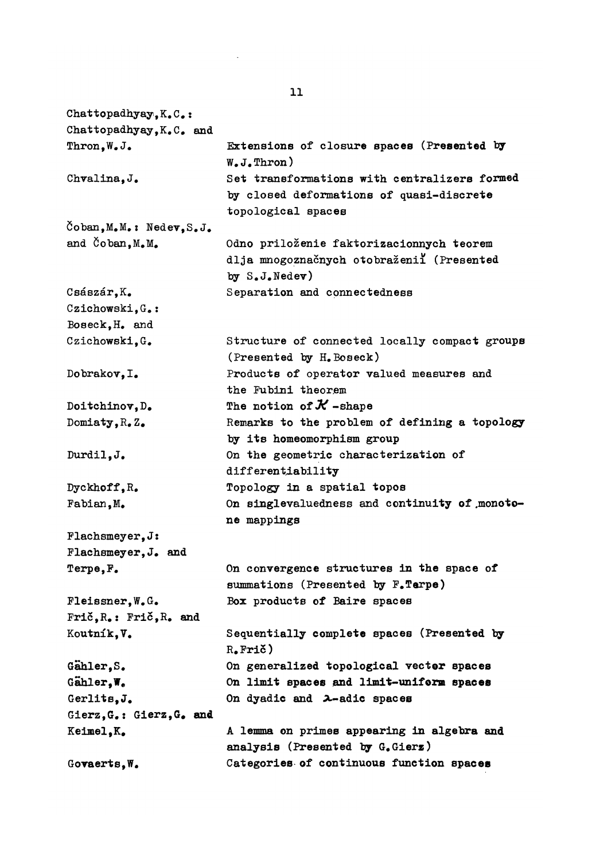Chattopadhyay.K.C.: Chattopadhyay, K.C. and **Thron,W#J#**  Chvalina.J. **8oban,M#M# : Nedev,S# J # and Čoban,M#M#**  Császár, K. Czichowski.G.: B**oseck,H# and**  Czichowski.G.  $D$ obrakov, I.  $Doitchinov, D$ . Domiaty, R.Z.  $Durdi1$ , J. **Dyckhoff,**R**# Fabian, M# Plachsmeyer, J: Flachsmeyer, J# and**   $Terme, F$ .  $F$ **leissner**, W.G. **Fric,**R**#: Fric,**R**# and**  Koutník, V. Gahler.S. **GählerfW#**  Gerlits, J. **Gierz,G#: Gierz,G# and Keimel,K#**  Govaerts.W. **Extensions of closure spaces (**P**resented by W#J#Thron) Set transformations with centralizers formed by closed deformations of** q**uasi-discrete topological spaces Odno prilozenie faktorizacionnych teorem dlja mnogoznacnych otobrazenii (**P**resented t>y S#J#Nedev) Separation and connectedness Structure of connected locally compact groups (**P**resented by H#Boseck)**  P**roducts of operator valued measures and the Fubini theorem The notion of** *K* **-shape**  R**emarks to the problem of defining a topology by its homeomorphism group On the geometric characterization of differentiability Topology in a spatial topos On singlevaluedness and continuity of .monotone mappings On convergence structures in the space of**  summations (Presented by F.Terpe) B**ox products of** B**aire spaces Sequentially complete spaces (Presented by**  R**#Pric) On generalized topological vector spaces On limit spaces and limit-uniform spaces**  On dyadic and 2-adic spaces **A lemma on primes appearing in algebra and analysis (**P**resented by G#Gierx)**  C**ategories of continuous function spaces**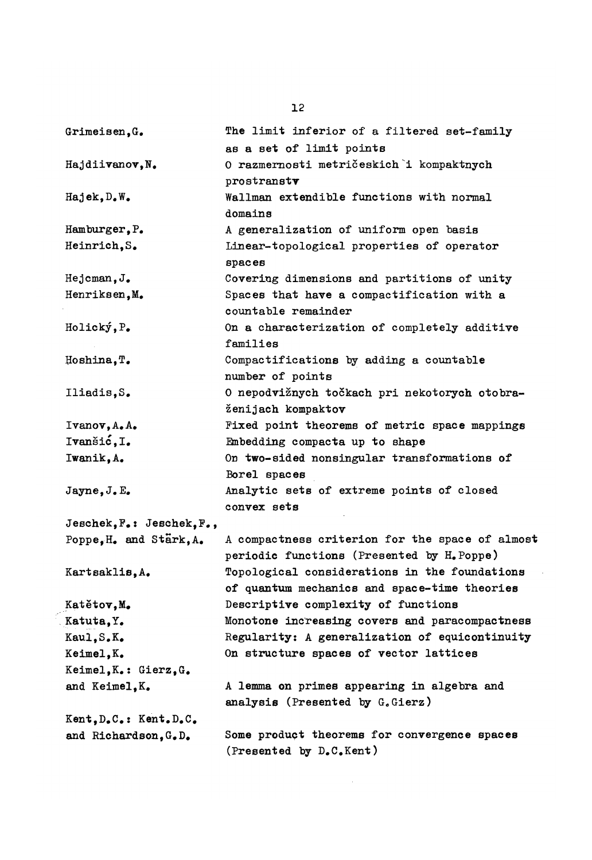| Grimeisen, G.                                  | The limit inferior of a filtered set-family     |
|------------------------------------------------|-------------------------------------------------|
|                                                | as a set of limit points                        |
| Hajdiivanov, N.                                | O razmernosti metričeskich i kompaktnych        |
|                                                | prostranstv                                     |
| $Ha$ jek, $D_\bullet W_\bullet$                | Wallman extendible functions with normal        |
|                                                | domains                                         |
| Hamburger, P.                                  | A generalization of uniform open basis          |
| Heinrich, S.                                   | Linear-topological properties of operator       |
|                                                | spaces                                          |
| $Hejcman, J$ .                                 | Covering dimensions and partitions of unity     |
| Henriksen, M.                                  | Spaces that have a compactification with a      |
|                                                | countable remainder                             |
| Holický, P.                                    | On a characterization of completely additive    |
|                                                | families                                        |
| Hoshina, T.                                    | Compactifications by adding a countable         |
|                                                | number of points                                |
| Iliadis,S.                                     | O nepodvižnych točkach pri nekotorych otobra-   |
|                                                | ženijach kompaktov                              |
| $I$ vanov, $A_{\bullet}$ $A_{\bullet}$         | Fixed point theorems of metric space mappings   |
| Ivanšić, I.                                    | Embedding compacta up to shape                  |
| Iwanik.A.                                      | On two-sided nonsingular transformations of     |
|                                                | Borel spaces                                    |
| $J\texttt{agree}, J_\bullet\texttt{E}_\bullet$ | Analytic sets of extreme points of closed       |
|                                                | convex sets                                     |
| Jeschek, F.: Jeschek, F.,                      |                                                 |
| Poppe, H. and Stark, A.                        | A compactness criterion for the space of almost |
|                                                | periodic functions (Presented by H. Poppe)      |
| Kartsaklis, A.                                 | Topological considerations in the foundations   |
|                                                | of quantum mechanics and space-time theories    |
| Katětov, M.                                    | Descriptive complexity of functions             |
| Katuta, Y.                                     | Monotone increasing covers and paracompactness  |
| Kaul, S.K.                                     | Regularity: A generalization of equicontinuity  |
| Keimel, K.                                     | On structure spaces of vector lattices          |
| Keimel, K.: Gierz, G.                          |                                                 |
| and Keimel, K.                                 | A lemma on primes appearing in algebra and      |
|                                                | analysis (Presented by G.Gierz)                 |
| Kent, D.C.: Kent. D.C.                         |                                                 |
| and Richardson, G.D.                           | Some product theorems for convergence spaces    |
|                                                | (Presented by D.C.Kent)                         |
|                                                |                                                 |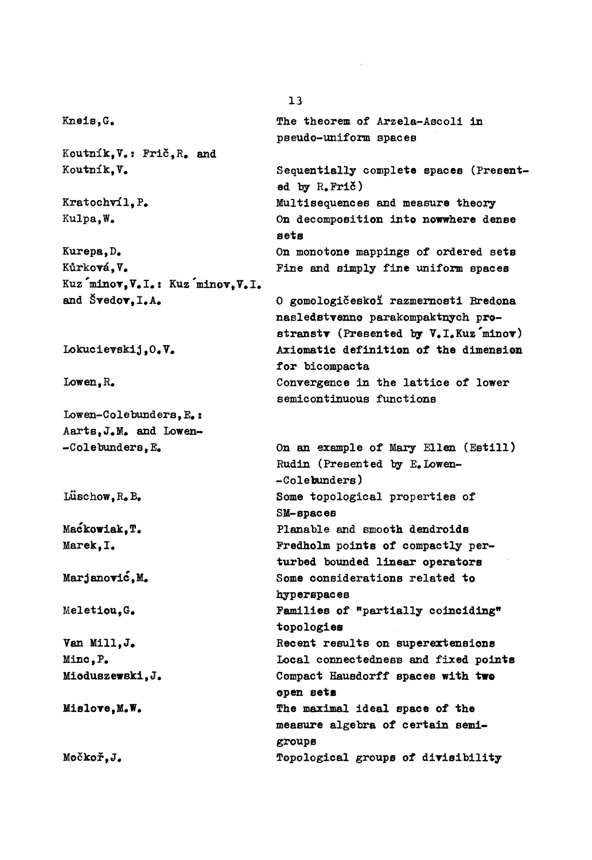$Knels.G$ **The theorem of Arzela-Ascoli in pseudo-uniform spaces Koutník,V#: Pric,**R**# and**  Koutník.V. **Se**q**uentially complete spaces (**P**resent** $ed$  by  $R_e$ **Frič**) Kratochvíl.P. **Multise**q**uences and measure theory Kulpa,W# On decomposition into nowwhere dense sets Kurepa,D# On monotone mappings of ordered sets**  Kůrková.V. **Pine and simply fine uniform spaces Kuz** minov, V.I.: Kuz minov, V.I. and Švedov, I.A. **0 gomologiceskox razmeraosti Bredona**  nasledstvenne parakompaktnych pro $stranstv$  (Presented by V<sub>**\***</sub>I<sub>\*</sub>Kuz'minov) **Axiomatic definition of the dimension LokucieTskij ,0 # V# for bicompacta**  Lowen, R. Convergence in the lattice of lower **semicontinuous functions**   $\texttt{Lower-Colebunders, E}.$ **Aarts,J#M# and Low en- On an example of Mary Ellen (Estill) -**C**olebunders,E#**  R**udin (**P**resented by E#Lowen- -**C**olebunders)**  Luschow, R. B. **Some topological properties of SM-spaces**   $M$ ackowiak.T. P**lanable and smooth dendroids**  Marek, I. **Predholm points of compactly perturbed b**o**unded linear operators**  Marjanović, M. **Some considerations related to hyperspaces**  Meletiou.G. Families of "partially coinciding" **topologies Van Mill,J#**  R**ecent results on superextensions Local connectedness and fixed points Mine, P# Mioduszewski, J#**  C**ompact Hausdorff spaces with two open sets**  Mislove, M.W. **The maximal ideal space of the MisloTe,M#W# measure algebra of certain semigroups**  Močkoř, J. Topological groups of divisibility **Mockof,J#**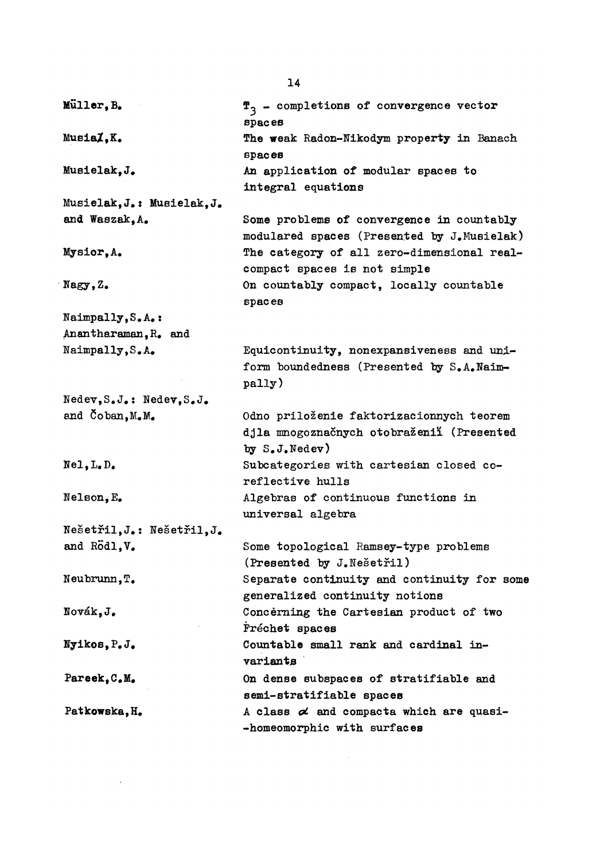| Müller, B.                 | $\mathbf{f}_3$ - completions of convergence vector<br>spaces                                           |
|----------------------------|--------------------------------------------------------------------------------------------------------|
| MusiaZ, K.                 | The weak Radon-Nikodym property in Banach<br>spacees                                                   |
| Musielak.J.                | An application of modular spaces to<br>integral equations                                              |
| Musielak, J.: Musielak, J. |                                                                                                        |
| and Waszak, A.             | Some problems of convergence in countably<br>modulared spaces (Presented by J.Musielak)                |
| Mysior, A.                 | The category of all zero-dimensional real-<br>compact spaces is not simple                             |
| $N$ agy, $Z$ .             | On countably compact, locally countable<br>spaces                                                      |
| Naimpally, S.A.:           |                                                                                                        |
| Anantharaman, R. and       |                                                                                                        |
| Naimpally, S.A.            | Equicontinuity, nonexpansiveness and uni-<br>form boundedness (Presented by S.A.Naim-<br>pally)        |
| Nedev, S.J.: Nedev, S.J.   |                                                                                                        |
| and Coban, M.M.            | Odno priloženie faktorizacionnych teorem<br>djla mnogoznačnych otobraženií (Presented<br>by S.J.Nedev) |
| $Nel, L, D$ .              | Subcategories with cartesian closed co-<br>reflective hulls                                            |
| Nelson, E.                 | Algebras of continuous functions in<br>universal algebra                                               |
| Nešetřil, J.: Nešetřil, J. |                                                                                                        |
| and Rodl, V.               | Some topological Ramsey-type problems<br>(Presented by J. Nešetřil)                                    |
| Neubrunn, T.               | Separate continuity and continuity for some<br>generalized continuity notions                          |
| Novák.J.                   | Concerning the Cartesian product of two<br>Fréchet spaces                                              |
| Nyikos, P.J.               | Countable small rank and cardinal in-<br>variants                                                      |
| Pareek, C.M.               | On dense subspaces of stratifiable and<br>semi-stratifiable spaces                                     |
| Patkowska, H.              | A class $\alpha$ and compacta which are quasi-<br>-homeomorphic with surfaces                          |

 $\mathcal{L}^{\text{max}}_{\text{max}}$  , where  $\mathcal{L}^{\text{max}}_{\text{max}}$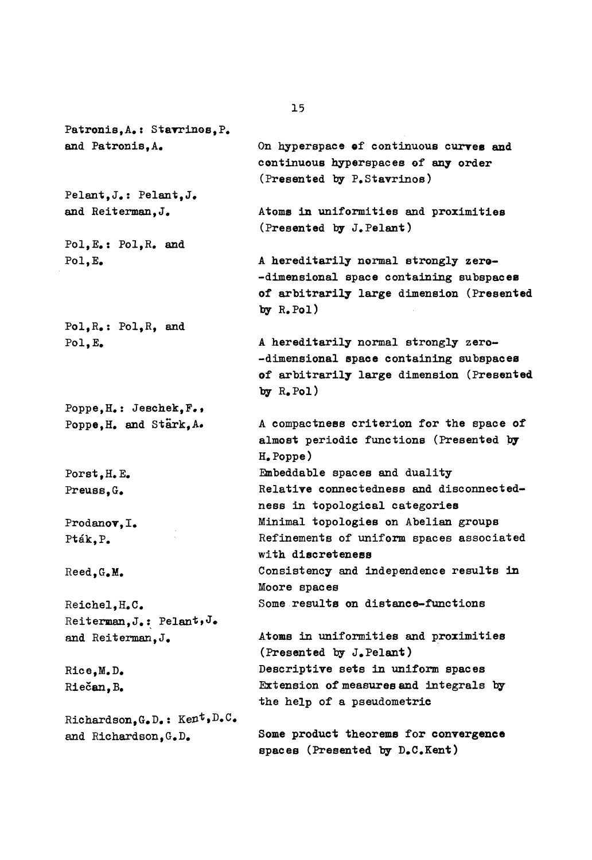Patronis, A.: Stavrinos, P. and Patronis.A. On hyperspace of continuous curves and continuous hyperspaces of any order (Presented by P. Stavrinos) Pelant.J.: Pelant.J. and Reiterman. J. Atoms in uniformities and proximities (Presented by J. Pelant) Pol.E.: Pol.R. and Pol.E. A hereditarily normal strongly zero--dimensional space containing subspaces of arbitrarily large dimension (Presented by  $R$ . Pol)  $Pol, R_{\bullet}$ :  $Pol, R_{\bullet}$  and A hereditarily normal strongly zero- $Pol, E$ -dimensional space containing subspaces of arbitrarily large dimension (Presented by  $R_{\bullet}$  Pol) Poppe.H.: Jeschek.F., Poppe, H. and Stärk, A. A compactness criterion for the space of almost periodic functions (Presented by  $H_e$ Poppe) Embeddable spaces and duality Porst, H. E. Relative connectedness and disconnected-Preuss.G. ness in topological categories Minimal topologies on Abelian groups Prodanov. I. Refinements of uniform spaces associated Pták, P. with discreteness Consistency and independence results in Reed.G.M. Moore spaces Some results on distance-functions Reichel.H.C. Reiterman, J.: Pelant, J. Atoms in uniformities and proximities and Reiterman, J. (Presented by J.Pelant) Descriptive sets in uniform spaces Rice.M.D. Extension of measures and integrals by Riečan. B. the help of a pseudometric Richardson, G.D.: Kent, D.C. Some product theorems for convergence and Richardson, G.D. spaces (Presented by D.C.Kent)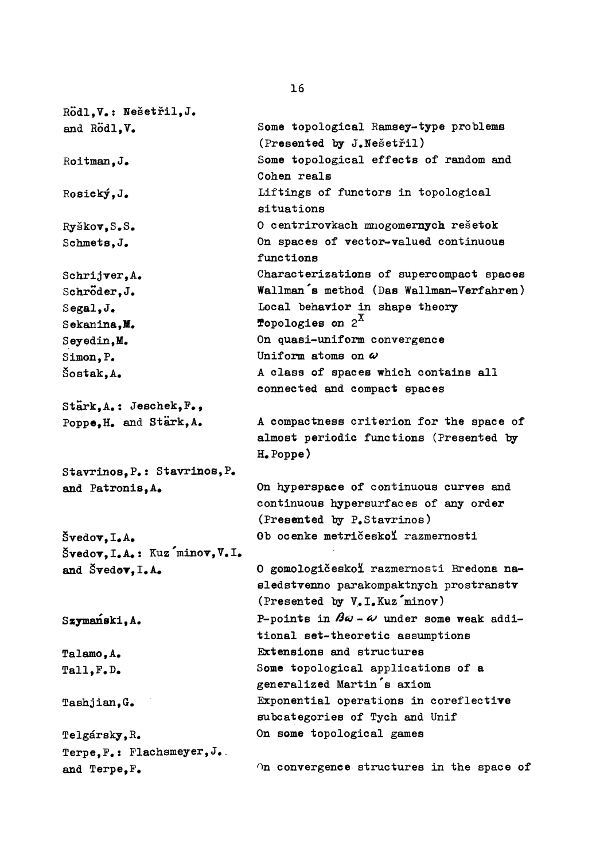R**odl,V#: Nešetřil,J#**  and Rodl.V. R**oitman,J#**  R**osický,J#**  R**yškovfS#S#**  Schmets, J. Schrijver, A. Schröder.J.  $S$ egal.J. Sekanina,M. Seyedin.M. Simon, P.  $S$ ostak.A. **Stark <sup>f</sup>A# : Jeschek <sup>f</sup> F # <sup>f</sup>** P**oppefH# and Stark,A# Stavrinos<sup>f</sup>** P **# : Stavrinos,**P**# and** P**atronisfA#**   $\check{S}$ vedov. I.A.  $\check{\mathbf{S}}$ **vedov**, **I.A.**: Kuz minov, V.I. **and Švedov, I.A.** Szymanski.A. **Talamo,A# Tall <sup>f</sup> F # D # Tashjian,G# Telgársky,**R**# Terpe,F#: Flachsmeyer,J#**  and Terpe,  $F$ . **Some topological** R**amsey-type problems (**P**resented lay J#Nesetfil) Some topological effects of random and**  C**ohen reals Liftings of functors in topological situations 0 centrirovkach mnogomernych resetok On spaces of vector-valued continuous functions**  C**haracterizations of supercompact spaces Wallman's method (Das Wallman-Verfahren) Local behavior in shape theory Topologies on**  $2^X$ **On quasi-uniform convergence**  Uniform atoms on  $\omega$ **A class of spaces which contains all connected and compact spaces A compactness criterion for the space of almost periodic functions (Presented by H#**P**oppe) On hyperspace of continuous curves and continuous hypersurfaces of any order (**P**resented by** P**#Stavrinos) Ob ocenke metriceskol razmernosti 0 gomologiceskoi razmernosti Bredona nasledstvenno parakompaktnych prostranstv (**P**resented by V#I#Kuz'minov) P-points in**  $\beta \omega - \omega$  **under some weak additional set-theoretic assumptions Extensions and structures Some topological applications of a generalized Martin's axiom Exponential operations in coreflective subcategories of Tych and Unif On some topological games On convergence structures in the space of**